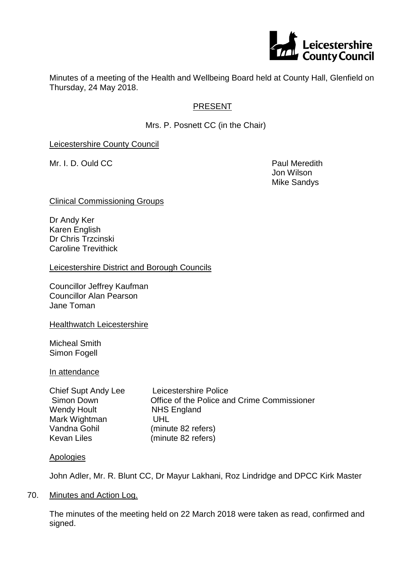

Minutes of a meeting of the Health and Wellbeing Board held at County Hall, Glenfield on Thursday, 24 May 2018.

# PRESENT

Mrs. P. Posnett CC (in the Chair)

Leicestershire County Council

Mr. I. D. Ould CC **Paul Meredith** 

Jon Wilson Mike Sandys

Clinical Commissioning Groups

Dr Andy Ker Karen English Dr Chris Trzcinski Caroline Trevithick

Leicestershire District and Borough Councils

Councillor Jeffrey Kaufman Councillor Alan Pearson Jane Toman

**Healthwatch Leicestershire** 

Micheal Smith Simon Fogell

In attendance

| Chief Supt Andy Lee | Leicestershire Police                       |
|---------------------|---------------------------------------------|
| Simon Down          | Office of the Police and Crime Commissioner |
| Wendy Hoult         | <b>NHS England</b>                          |
| Mark Wightman       | UHL                                         |
| Vandna Gohil        | (minute 82 refers)                          |
| Kevan Liles         | (minute 82 refers)                          |

# **Apologies**

John Adler, Mr. R. Blunt CC, Dr Mayur Lakhani, Roz Lindridge and DPCC Kirk Master

### 70. Minutes and Action Log.

The minutes of the meeting held on 22 March 2018 were taken as read, confirmed and signed.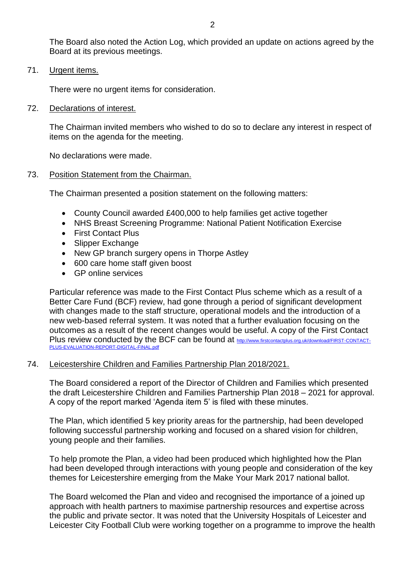The Board also noted the Action Log, which provided an update on actions agreed by the Board at its previous meetings.

71. Urgent items.

There were no urgent items for consideration.

72. Declarations of interest.

The Chairman invited members who wished to do so to declare any interest in respect of items on the agenda for the meeting.

No declarations were made.

#### 73. Position Statement from the Chairman.

The Chairman presented a position statement on the following matters:

- County Council awarded £400,000 to help families get active together
- NHS Breast Screening Programme: National Patient Notification Exercise
- First Contact Plus
- Slipper Exchange
- New GP branch surgery opens in Thorpe Astley
- 600 care home staff given boost
- GP online services

Particular reference was made to the First Contact Plus scheme which as a result of a Better Care Fund (BCF) review, had gone through a period of significant development with changes made to the staff structure, operational models and the introduction of a new web-based referral system. It was noted that a further evaluation focusing on the outcomes as a result of the recent changes would be useful. A copy of the First Contact Plus review conducted by the BCF can be found at [http://www.firstcontactplus.org.uk/download/FIRST-CONTACT-](http://www.firstcontactplus.org.uk/download/FIRST-CONTACT-PLUS-EVALUATION-REPORT-DIGITAL-FINAL.pdf)[PLUS-EVALUATION-REPORT-DIGITAL-FINAL.pdf](http://www.firstcontactplus.org.uk/download/FIRST-CONTACT-PLUS-EVALUATION-REPORT-DIGITAL-FINAL.pdf)

### 74. Leicestershire Children and Families Partnership Plan 2018/2021.

The Board considered a report of the Director of Children and Families which presented the draft Leicestershire Children and Families Partnership Plan 2018 – 2021 for approval. A copy of the report marked 'Agenda item 5' is filed with these minutes.

The Plan, which identified 5 key priority areas for the partnership, had been developed following successful partnership working and focused on a shared vision for children, young people and their families.

To help promote the Plan, a video had been produced which highlighted how the Plan had been developed through interactions with young people and consideration of the key themes for Leicestershire emerging from the Make Your Mark 2017 national ballot.

The Board welcomed the Plan and video and recognised the importance of a joined up approach with health partners to maximise partnership resources and expertise across the public and private sector. It was noted that the University Hospitals of Leicester and Leicester City Football Club were working together on a programme to improve the health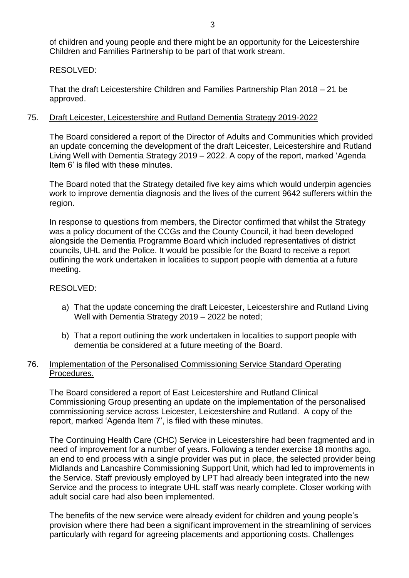of children and young people and there might be an opportunity for the Leicestershire Children and Families Partnership to be part of that work stream.

# RESOLVED:

That the draft Leicestershire Children and Families Partnership Plan 2018 – 21 be approved.

# 75. Draft Leicester, Leicestershire and Rutland Dementia Strategy 2019-2022

The Board considered a report of the Director of Adults and Communities which provided an update concerning the development of the draft Leicester, Leicestershire and Rutland Living Well with Dementia Strategy 2019 – 2022. A copy of the report, marked 'Agenda Item 6' is filed with these minutes.

The Board noted that the Strategy detailed five key aims which would underpin agencies work to improve dementia diagnosis and the lives of the current 9642 sufferers within the region.

In response to questions from members, the Director confirmed that whilst the Strategy was a policy document of the CCGs and the County Council, it had been developed alongside the Dementia Programme Board which included representatives of district councils, UHL and the Police. It would be possible for the Board to receive a report outlining the work undertaken in localities to support people with dementia at a future meeting.

# RESOLVED:

- a) That the update concerning the draft Leicester, Leicestershire and Rutland Living Well with Dementia Strategy 2019 – 2022 be noted;
- b) That a report outlining the work undertaken in localities to support people with dementia be considered at a future meeting of the Board.

# 76. Implementation of the Personalised Commissioning Service Standard Operating Procedures.

The Board considered a report of East Leicestershire and Rutland Clinical Commissioning Group presenting an update on the implementation of the personalised commissioning service across Leicester, Leicestershire and Rutland. A copy of the report, marked 'Agenda Item 7', is filed with these minutes.

The Continuing Health Care (CHC) Service in Leicestershire had been fragmented and in need of improvement for a number of years. Following a tender exercise 18 months ago, an end to end process with a single provider was put in place, the selected provider being Midlands and Lancashire Commissioning Support Unit, which had led to improvements in the Service. Staff previously employed by LPT had already been integrated into the new Service and the process to integrate UHL staff was nearly complete. Closer working with adult social care had also been implemented.

The benefits of the new service were already evident for children and young people's provision where there had been a significant improvement in the streamlining of services particularly with regard for agreeing placements and apportioning costs. Challenges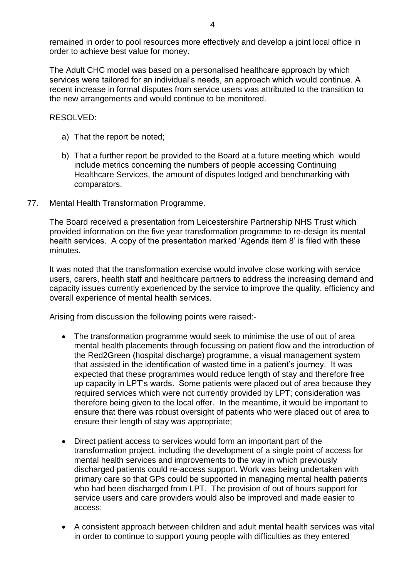remained in order to pool resources more effectively and develop a joint local office in order to achieve best value for money.

The Adult CHC model was based on a personalised healthcare approach by which services were tailored for an individual's needs, an approach which would continue. A recent increase in formal disputes from service users was attributed to the transition to the new arrangements and would continue to be monitored.

RESOLVED:

- a) That the report be noted;
- b) That a further report be provided to the Board at a future meeting which would include metrics concerning the numbers of people accessing Continuing Healthcare Services, the amount of disputes lodged and benchmarking with comparators.

### 77. Mental Health Transformation Programme.

The Board received a presentation from Leicestershire Partnership NHS Trust which provided information on the five year transformation programme to re-design its mental health services. A copy of the presentation marked 'Agenda item 8' is filed with these minutes.

It was noted that the transformation exercise would involve close working with service users, carers, health staff and healthcare partners to address the increasing demand and capacity issues currently experienced by the service to improve the quality, efficiency and overall experience of mental health services.

Arising from discussion the following points were raised:-

- The transformation programme would seek to minimise the use of out of area mental health placements through focussing on patient flow and the introduction of the Red2Green (hospital discharge) programme, a visual management system that assisted in the identification of wasted time in a patient's journey. It was expected that these programmes would reduce length of stay and therefore free up capacity in LPT's wards. Some patients were placed out of area because they required services which were not currently provided by LPT; consideration was therefore being given to the local offer. In the meantime, it would be important to ensure that there was robust oversight of patients who were placed out of area to ensure their length of stay was appropriate;
- Direct patient access to services would form an important part of the transformation project, including the development of a single point of access for mental health services and improvements to the way in which previously discharged patients could re-access support. Work was being undertaken with primary care so that GPs could be supported in managing mental health patients who had been discharged from LPT. The provision of out of hours support for service users and care providers would also be improved and made easier to access;
- A consistent approach between children and adult mental health services was vital in order to continue to support young people with difficulties as they entered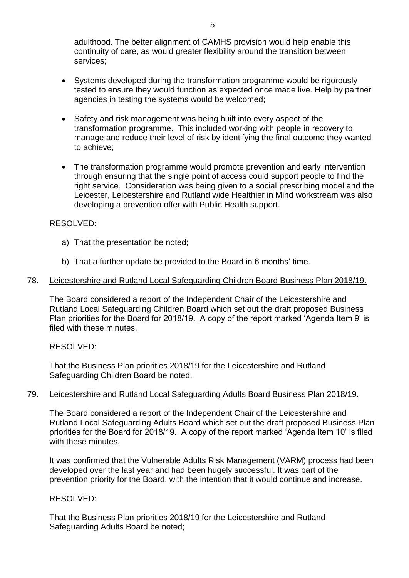adulthood. The better alignment of CAMHS provision would help enable this continuity of care, as would greater flexibility around the transition between services;

- Systems developed during the transformation programme would be rigorously tested to ensure they would function as expected once made live. Help by partner agencies in testing the systems would be welcomed;
- Safety and risk management was being built into every aspect of the transformation programme. This included working with people in recovery to manage and reduce their level of risk by identifying the final outcome they wanted to achieve;
- The transformation programme would promote prevention and early intervention through ensuring that the single point of access could support people to find the right service. Consideration was being given to a social prescribing model and the Leicester, Leicestershire and Rutland wide Healthier in Mind workstream was also developing a prevention offer with Public Health support.

## RESOLVED:

- a) That the presentation be noted;
- b) That a further update be provided to the Board in 6 months' time.

### 78. Leicestershire and Rutland Local Safeguarding Children Board Business Plan 2018/19.

The Board considered a report of the Independent Chair of the Leicestershire and Rutland Local Safeguarding Children Board which set out the draft proposed Business Plan priorities for the Board for 2018/19. A copy of the report marked 'Agenda Item 9' is filed with these minutes.

RESOLVED:

That the Business Plan priorities 2018/19 for the Leicestershire and Rutland Safeguarding Children Board be noted.

### 79. Leicestershire and Rutland Local Safeguarding Adults Board Business Plan 2018/19.

The Board considered a report of the Independent Chair of the Leicestershire and Rutland Local Safeguarding Adults Board which set out the draft proposed Business Plan priorities for the Board for 2018/19. A copy of the report marked 'Agenda Item 10' is filed with these minutes.

It was confirmed that the Vulnerable Adults Risk Management (VARM) process had been developed over the last year and had been hugely successful. It was part of the prevention priority for the Board, with the intention that it would continue and increase.

### RESOLVED:

That the Business Plan priorities 2018/19 for the Leicestershire and Rutland Safeguarding Adults Board be noted;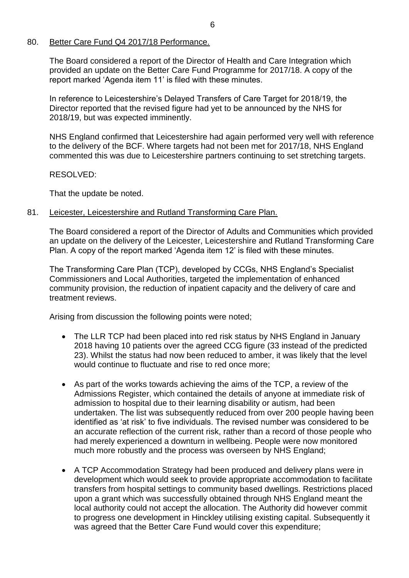## 80. Better Care Fund Q4 2017/18 Performance.

The Board considered a report of the Director of Health and Care Integration which provided an update on the Better Care Fund Programme for 2017/18. A copy of the report marked 'Agenda item 11' is filed with these minutes.

In reference to Leicestershire's Delayed Transfers of Care Target for 2018/19, the Director reported that the revised figure had yet to be announced by the NHS for 2018/19, but was expected imminently.

NHS England confirmed that Leicestershire had again performed very well with reference to the delivery of the BCF. Where targets had not been met for 2017/18, NHS England commented this was due to Leicestershire partners continuing to set stretching targets.

## RESOLVED:

That the update be noted.

# 81. Leicester, Leicestershire and Rutland Transforming Care Plan.

The Board considered a report of the Director of Adults and Communities which provided an update on the delivery of the Leicester, Leicestershire and Rutland Transforming Care Plan. A copy of the report marked 'Agenda item 12' is filed with these minutes.

The Transforming Care Plan (TCP), developed by CCGs, NHS England's Specialist Commissioners and Local Authorities, targeted the implementation of enhanced community provision, the reduction of inpatient capacity and the delivery of care and treatment reviews.

Arising from discussion the following points were noted;

- The LLR TCP had been placed into red risk status by NHS England in January 2018 having 10 patients over the agreed CCG figure (33 instead of the predicted 23). Whilst the status had now been reduced to amber, it was likely that the level would continue to fluctuate and rise to red once more;
- As part of the works towards achieving the aims of the TCP, a review of the Admissions Register, which contained the details of anyone at immediate risk of admission to hospital due to their learning disability or autism, had been undertaken. The list was subsequently reduced from over 200 people having been identified as 'at risk' to five individuals. The revised number was considered to be an accurate reflection of the current risk, rather than a record of those people who had merely experienced a downturn in wellbeing. People were now monitored much more robustly and the process was overseen by NHS England;
- A TCP Accommodation Strategy had been produced and delivery plans were in development which would seek to provide appropriate accommodation to facilitate transfers from hospital settings to community based dwellings. Restrictions placed upon a grant which was successfully obtained through NHS England meant the local authority could not accept the allocation. The Authority did however commit to progress one development in Hinckley utilising existing capital. Subsequently it was agreed that the Better Care Fund would cover this expenditure;